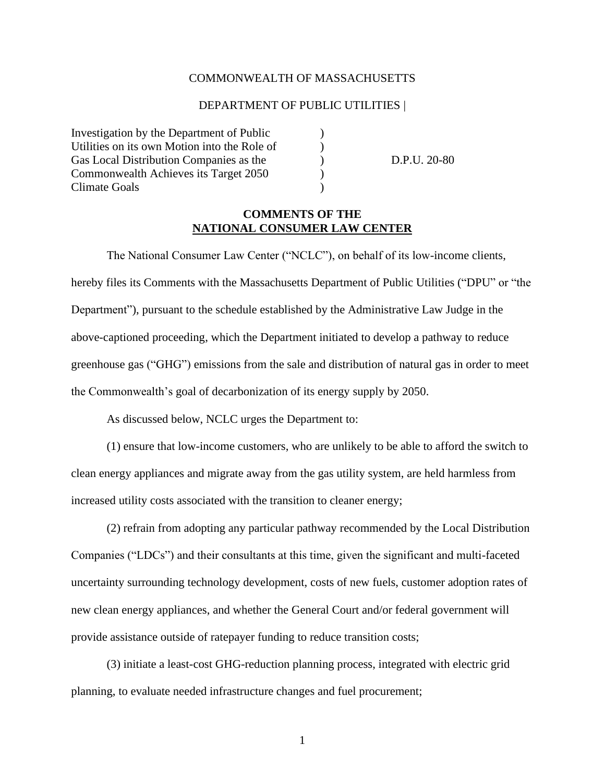#### COMMONWEALTH OF MASSACHUSETTS

#### DEPARTMENT OF PUBLIC UTILITIES |

Investigation by the Department of Public ) Utilities on its own Motion into the Role of  $\qquad)$ Gas Local Distribution Companies as the  $D.P.U. 20-80$ Commonwealth Achieves its Target 2050 ) Climate Goals )

## **COMMENTS OF THE NATIONAL CONSUMER LAW CENTER**

The National Consumer Law Center ("NCLC"), on behalf of its low-income clients, hereby files its Comments with the Massachusetts Department of Public Utilities ("DPU" or "the Department"), pursuant to the schedule established by the Administrative Law Judge in the above-captioned proceeding, which the Department initiated to develop a pathway to reduce greenhouse gas ("GHG") emissions from the sale and distribution of natural gas in order to meet the Commonwealth's goal of decarbonization of its energy supply by 2050.

As discussed below, NCLC urges the Department to:

(1) ensure that low-income customers, who are unlikely to be able to afford the switch to clean energy appliances and migrate away from the gas utility system, are held harmless from increased utility costs associated with the transition to cleaner energy;

(2) refrain from adopting any particular pathway recommended by the Local Distribution Companies ("LDCs") and their consultants at this time, given the significant and multi-faceted uncertainty surrounding technology development, costs of new fuels, customer adoption rates of new clean energy appliances, and whether the General Court and/or federal government will provide assistance outside of ratepayer funding to reduce transition costs;

(3) initiate a least-cost GHG-reduction planning process, integrated with electric grid planning, to evaluate needed infrastructure changes and fuel procurement;

1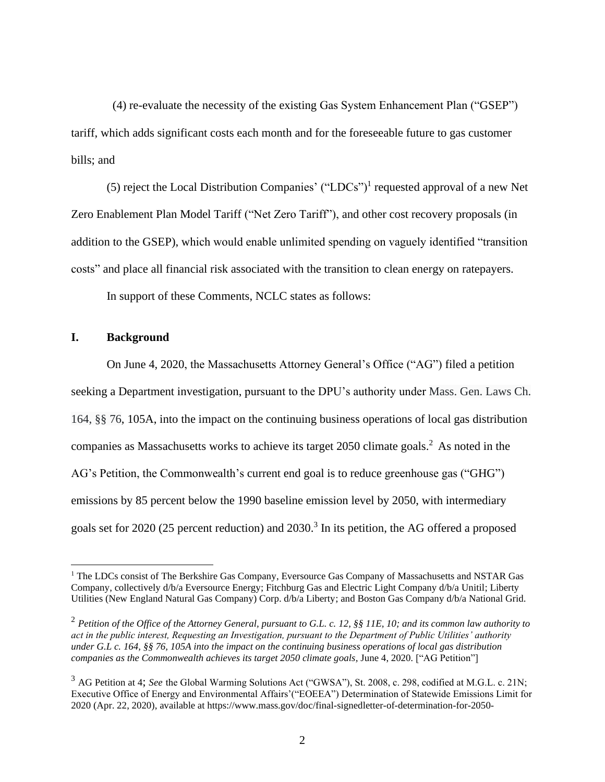(4) re-evaluate the necessity of the existing Gas System Enhancement Plan ("GSEP") tariff, which adds significant costs each month and for the foreseeable future to gas customer bills; and

(5) reject the Local Distribution Companies' ("LDCs")<sup>1</sup> requested approval of a new Net Zero Enablement Plan Model Tariff ("Net Zero Tariff"), and other cost recovery proposals (in addition to the GSEP), which would enable unlimited spending on vaguely identified "transition costs" and place all financial risk associated with the transition to clean energy on ratepayers.

In support of these Comments, NCLC states as follows:

#### **I. Background**

On June 4, 2020, the Massachusetts Attorney General's Office ("AG") filed a petition seeking a Department investigation, pursuant to the DPU's authority under Mass. Gen. Laws Ch. 164, §§ 76, 105A, into the impact on the continuing business operations of local gas distribution companies as Massachusetts works to achieve its target  $2050$  climate goals.<sup>2</sup> As noted in the AG's Petition, the Commonwealth's current end goal is to reduce greenhouse gas ("GHG") emissions by 85 percent below the 1990 baseline emission level by 2050, with intermediary goals set for 2020 (25 percent reduction) and 2030.<sup>3</sup> In its petition, the AG offered a proposed

<sup>&</sup>lt;sup>1</sup> The LDCs consist of The Berkshire Gas Company, Eversource Gas Company of Massachusetts and NSTAR Gas Company, collectively d/b/a Eversource Energy; Fitchburg Gas and Electric Light Company d/b/a Unitil; Liberty Utilities (New England Natural Gas Company) Corp. d/b/a Liberty; and Boston Gas Company d/b/a National Grid.

<sup>2</sup> *Petition of the Office of the Attorney General, pursuant to G.L. c. 12, §§ 11E, 10; and its common law authority to act in the public interest, Requesting an Investigation, pursuant to the Department of Public Utilities' authority under G.L c. 164, §§ 76, 105A into the impact on the continuing business operations of local gas distribution companies as the Commonwealth achieves its target 2050 climate goals,* June 4, 2020*.* ["AG Petition"]

<sup>3</sup> AG Petition at 4; *See* the Global Warming Solutions Act ("GWSA"), St. 2008, c. 298, codified at M.G.L. c. 21N; Executive Office of Energy and Environmental Affairs'("EOEEA") Determination of Statewide Emissions Limit for 2020 (Apr. 22, 2020), available at https://www.mass.gov/doc/final-signedletter-of-determination-for-2050-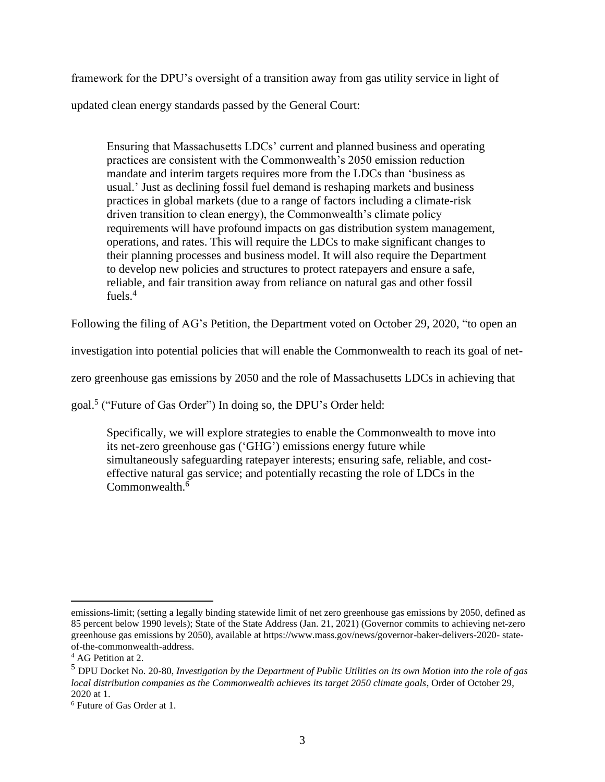framework for the DPU's oversight of a transition away from gas utility service in light of

updated clean energy standards passed by the General Court:

Ensuring that Massachusetts LDCs' current and planned business and operating practices are consistent with the Commonwealth's 2050 emission reduction mandate and interim targets requires more from the LDCs than 'business as usual.' Just as declining fossil fuel demand is reshaping markets and business practices in global markets (due to a range of factors including a climate-risk driven transition to clean energy), the Commonwealth's climate policy requirements will have profound impacts on gas distribution system management, operations, and rates. This will require the LDCs to make significant changes to their planning processes and business model. It will also require the Department to develop new policies and structures to protect ratepayers and ensure a safe, reliable, and fair transition away from reliance on natural gas and other fossil fuels. $4$ 

Following the filing of AG's Petition, the Department voted on October 29, 2020, "to open an

investigation into potential policies that will enable the Commonwealth to reach its goal of net-

zero greenhouse gas emissions by 2050 and the role of Massachusetts LDCs in achieving that

goal.<sup>5</sup> ("Future of Gas Order") In doing so, the DPU's Order held:

Specifically, we will explore strategies to enable the Commonwealth to move into its net-zero greenhouse gas ('GHG') emissions energy future while simultaneously safeguarding ratepayer interests; ensuring safe, reliable, and costeffective natural gas service; and potentially recasting the role of LDCs in the Commonwealth.<sup>6</sup>

emissions-limit; (setting a legally binding statewide limit of net zero greenhouse gas emissions by 2050, defined as 85 percent below 1990 levels); State of the State Address (Jan. 21, 2021) (Governor commits to achieving net-zero greenhouse gas emissions by 2050), available at https://www.mass.gov/news/governor-baker-delivers-2020- stateof-the-commonwealth-address.

<sup>&</sup>lt;sup>4</sup> AG Petition at 2.

<sup>5</sup> DPU Docket No. 20-80, *Investigation by the Department of Public Utilities on its own Motion into the role of gas local distribution companies as the Commonwealth achieves its target 2050 climate goals*, Order of October 29, 2020 at 1.

<sup>6</sup> Future of Gas Order at 1.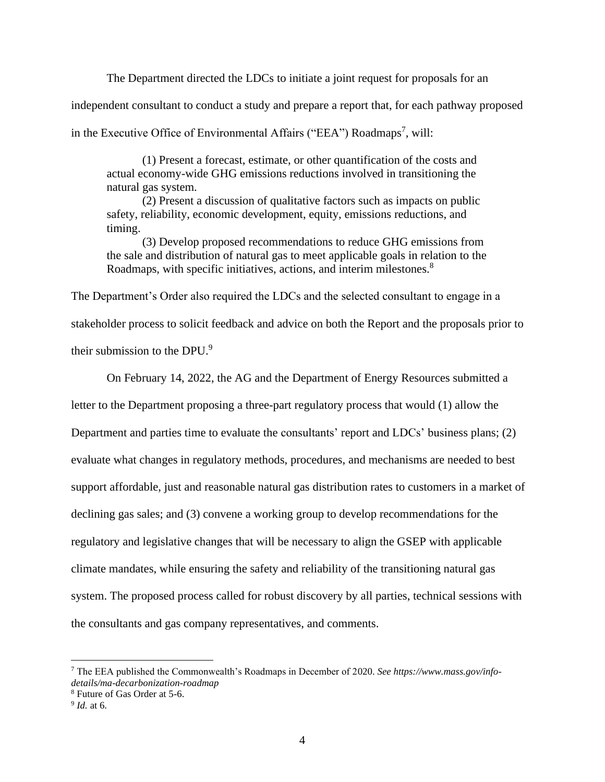The Department directed the LDCs to initiate a joint request for proposals for an

independent consultant to conduct a study and prepare a report that, for each pathway proposed

in the Executive Office of Environmental Affairs ("EEA") Roadmaps<sup>7</sup>, will:

(1) Present a forecast, estimate, or other quantification of the costs and actual economy-wide GHG emissions reductions involved in transitioning the natural gas system.

(2) Present a discussion of qualitative factors such as impacts on public safety, reliability, economic development, equity, emissions reductions, and timing.

(3) Develop proposed recommendations to reduce GHG emissions from the sale and distribution of natural gas to meet applicable goals in relation to the Roadmaps, with specific initiatives, actions, and interim milestones.<sup>8</sup>

The Department's Order also required the LDCs and the selected consultant to engage in a stakeholder process to solicit feedback and advice on both the Report and the proposals prior to their submission to the DPU.<sup>9</sup>

On February 14, 2022, the AG and the Department of Energy Resources submitted a

letter to the Department proposing a three-part regulatory process that would (1) allow the

Department and parties time to evaluate the consultants' report and LDCs' business plans; (2)

evaluate what changes in regulatory methods, procedures, and mechanisms are needed to best

support affordable, just and reasonable natural gas distribution rates to customers in a market of

declining gas sales; and (3) convene a working group to develop recommendations for the

regulatory and legislative changes that will be necessary to align the GSEP with applicable

climate mandates, while ensuring the safety and reliability of the transitioning natural gas

system. The proposed process called for robust discovery by all parties, technical sessions with

the consultants and gas company representatives, and comments.

<sup>7</sup> The EEA published the Commonwealth's Roadmaps in December of 2020. *See https://www.mass.gov/infodetails/ma-decarbonization-roadmap*

<sup>8</sup> Future of Gas Order at 5-6.

<sup>9</sup> *Id.* at 6.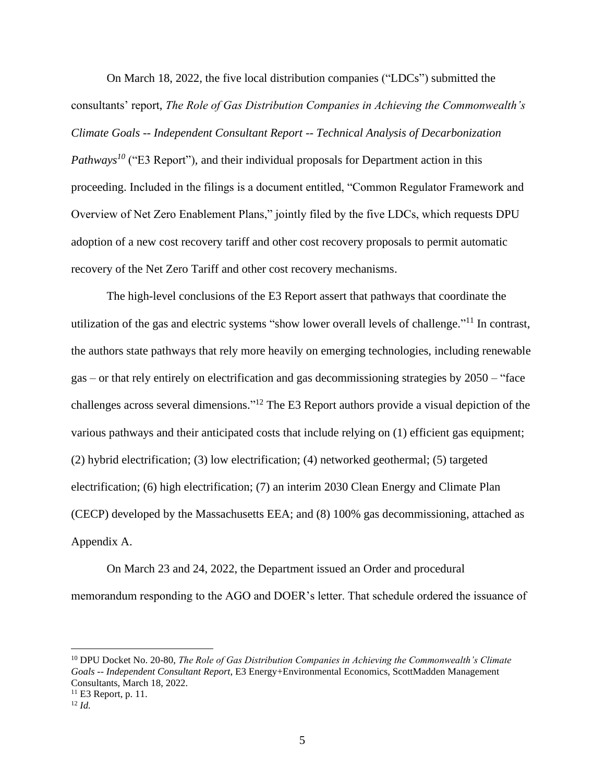On March 18, 2022, the five local distribution companies ("LDCs") submitted the consultants' report, *The Role of Gas Distribution Companies in Achieving the Commonwealth's Climate Goals -- Independent Consultant Report -- Technical Analysis of Decarbonization Pathways<sup>10</sup>* ("E3 Report"), and their individual proposals for Department action in this proceeding. Included in the filings is a document entitled, "Common Regulator Framework and Overview of Net Zero Enablement Plans," jointly filed by the five LDCs, which requests DPU adoption of a new cost recovery tariff and other cost recovery proposals to permit automatic recovery of the Net Zero Tariff and other cost recovery mechanisms.

The high-level conclusions of the E3 Report assert that pathways that coordinate the utilization of the gas and electric systems "show lower overall levels of challenge."<sup>11</sup> In contrast, the authors state pathways that rely more heavily on emerging technologies, including renewable gas – or that rely entirely on electrification and gas decommissioning strategies by 2050 – "face challenges across several dimensions."<sup>12</sup> The E3 Report authors provide a visual depiction of the various pathways and their anticipated costs that include relying on (1) efficient gas equipment; (2) hybrid electrification; (3) low electrification; (4) networked geothermal; (5) targeted electrification; (6) high electrification; (7) an interim 2030 Clean Energy and Climate Plan (CECP) developed by the Massachusetts EEA; and (8) 100% gas decommissioning, attached as Appendix A.

On March 23 and 24, 2022, the Department issued an Order and procedural memorandum responding to the AGO and DOER's letter. That schedule ordered the issuance of

<sup>10</sup> DPU Docket No. 20-80, *The Role of Gas Distribution Companies in Achieving the Commonwealth's Climate Goals -- Independent Consultant Report*, E3 Energy+Environmental Economics, ScottMadden Management Consultants, March 18, 2022.  $11$  E3 Report, p. 11.

<sup>12</sup> *Id.*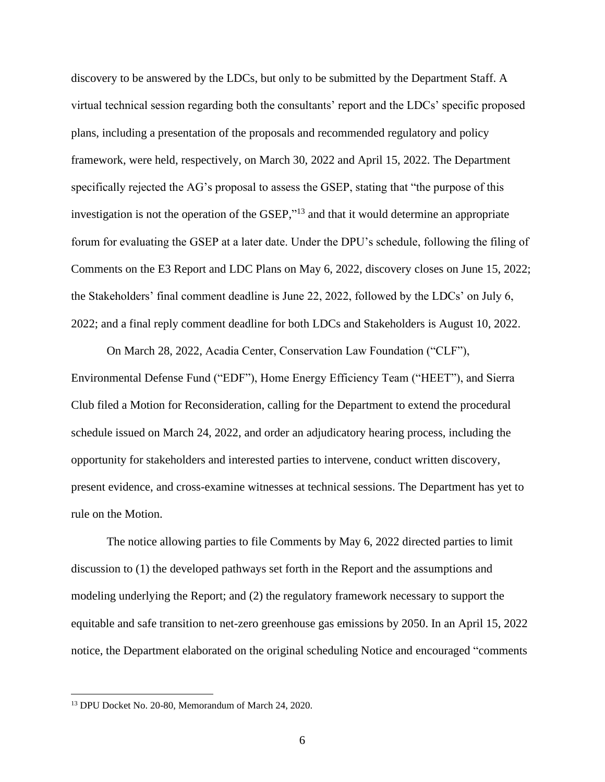discovery to be answered by the LDCs, but only to be submitted by the Department Staff. A virtual technical session regarding both the consultants' report and the LDCs' specific proposed plans, including a presentation of the proposals and recommended regulatory and policy framework, were held, respectively, on March 30, 2022 and April 15, 2022. The Department specifically rejected the AG's proposal to assess the GSEP, stating that "the purpose of this investigation is not the operation of the GSEP,"<sup>13</sup> and that it would determine an appropriate forum for evaluating the GSEP at a later date. Under the DPU's schedule, following the filing of Comments on the E3 Report and LDC Plans on May 6, 2022, discovery closes on June 15, 2022; the Stakeholders' final comment deadline is June 22, 2022, followed by the LDCs' on July 6, 2022; and a final reply comment deadline for both LDCs and Stakeholders is August 10, 2022.

On March 28, 2022, Acadia Center, Conservation Law Foundation ("CLF"), Environmental Defense Fund ("EDF"), Home Energy Efficiency Team ("HEET"), and Sierra Club filed a Motion for Reconsideration, calling for the Department to extend the procedural schedule issued on March 24, 2022, and order an adjudicatory hearing process, including the opportunity for stakeholders and interested parties to intervene, conduct written discovery, present evidence, and cross-examine witnesses at technical sessions. The Department has yet to rule on the Motion.

The notice allowing parties to file Comments by May 6, 2022 directed parties to limit discussion to (1) the developed pathways set forth in the Report and the assumptions and modeling underlying the Report; and (2) the regulatory framework necessary to support the equitable and safe transition to net-zero greenhouse gas emissions by 2050. In an April 15, 2022 notice, the Department elaborated on the original scheduling Notice and encouraged "comments

<sup>13</sup> DPU Docket No. 20-80, Memorandum of March 24, 2020.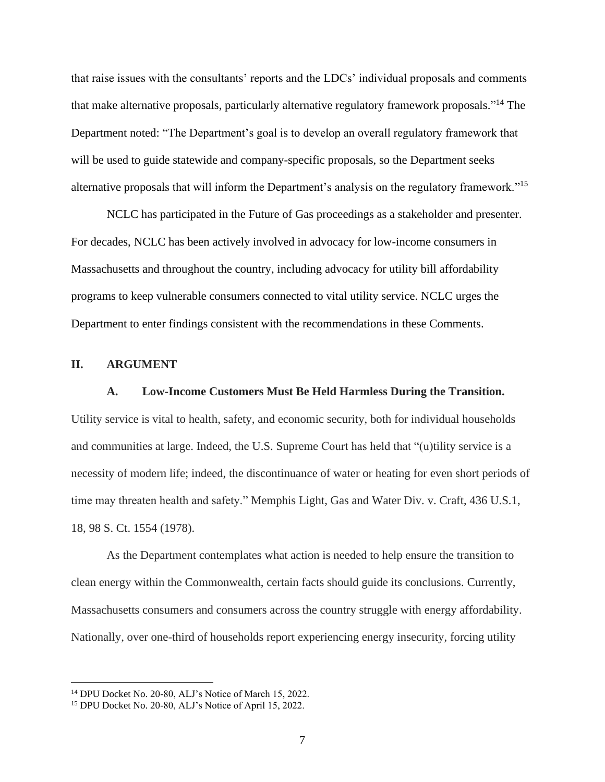that raise issues with the consultants' reports and the LDCs' individual proposals and comments that make alternative proposals, particularly alternative regulatory framework proposals."<sup>14</sup> The Department noted: "The Department's goal is to develop an overall regulatory framework that will be used to guide statewide and company-specific proposals, so the Department seeks alternative proposals that will inform the Department's analysis on the regulatory framework."<sup>15</sup>

NCLC has participated in the Future of Gas proceedings as a stakeholder and presenter. For decades, NCLC has been actively involved in advocacy for low-income consumers in Massachusetts and throughout the country, including advocacy for utility bill affordability programs to keep vulnerable consumers connected to vital utility service. NCLC urges the Department to enter findings consistent with the recommendations in these Comments.

## **II. ARGUMENT**

#### **A. Low-Income Customers Must Be Held Harmless During the Transition.**

Utility service is vital to health, safety, and economic security, both for individual households and communities at large. Indeed, the U.S. Supreme Court has held that "(u)tility service is a necessity of modern life; indeed, the discontinuance of water or heating for even short periods of time may threaten health and safety." Memphis Light, Gas and Water Div. v. Craft, 436 U.S.1, 18, 98 S. Ct. 1554 (1978).

As the Department contemplates what action is needed to help ensure the transition to clean energy within the Commonwealth, certain facts should guide its conclusions. Currently, Massachusetts consumers and consumers across the country struggle with energy affordability. Nationally, over one-third of households report experiencing energy insecurity, forcing utility

<sup>14</sup> DPU Docket No. 20-80, ALJ's Notice of March 15, 2022.

<sup>15</sup> DPU Docket No. 20-80, ALJ's Notice of April 15, 2022.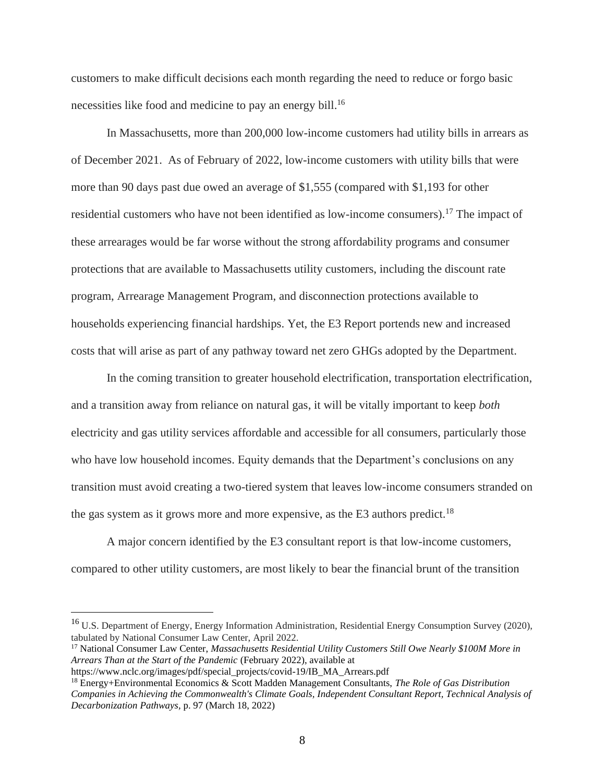customers to make difficult decisions each month regarding the need to reduce or forgo basic necessities like food and medicine to pay an energy bill. 16

In Massachusetts, more than 200,000 low-income customers had utility bills in arrears as of December 2021. As of February of 2022, low-income customers with utility bills that were more than 90 days past due owed an average of \$1,555 (compared with \$1,193 for other residential customers who have not been identified as low-income consumers).<sup>17</sup> The impact of these arrearages would be far worse without the strong affordability programs and consumer protections that are available to Massachusetts utility customers, including the discount rate program, Arrearage Management Program, and disconnection protections available to households experiencing financial hardships. Yet, the E3 Report portends new and increased costs that will arise as part of any pathway toward net zero GHGs adopted by the Department.

In the coming transition to greater household electrification, transportation electrification, and a transition away from reliance on natural gas, it will be vitally important to keep *both*  electricity and gas utility services affordable and accessible for all consumers, particularly those who have low household incomes. Equity demands that the Department's conclusions on any transition must avoid creating a two-tiered system that leaves low-income consumers stranded on the gas system as it grows more and more expensive, as the  $E3$  authors predict.<sup>18</sup>

A major concern identified by the E3 consultant report is that low-income customers, compared to other utility customers, are most likely to bear the financial brunt of the transition

<sup>&</sup>lt;sup>16</sup> U.S. Department of Energy, Energy Information Administration, Residential Energy Consumption Survey (2020), tabulated by National Consumer Law Center, April 2022.

<sup>&</sup>lt;sup>17</sup> National Consumer Law Center, *Massachusetts Residential Utility Customers Still Owe Nearly \$100M More in Arrears Than at the Start of the Pandemic* (February 2022), available at

https://www.nclc.org/images/pdf/special\_projects/covid-19/IB\_MA\_Arrears.pdf

<sup>18</sup> Energy+Environmental Economics & Scott Madden Management Consultants, *The Role of Gas Distribution Companies in Achieving the Commonwealth's Climate Goals, Independent Consultant Report, Technical Analysis of Decarbonization Pathways,* p. 97 (March 18, 2022)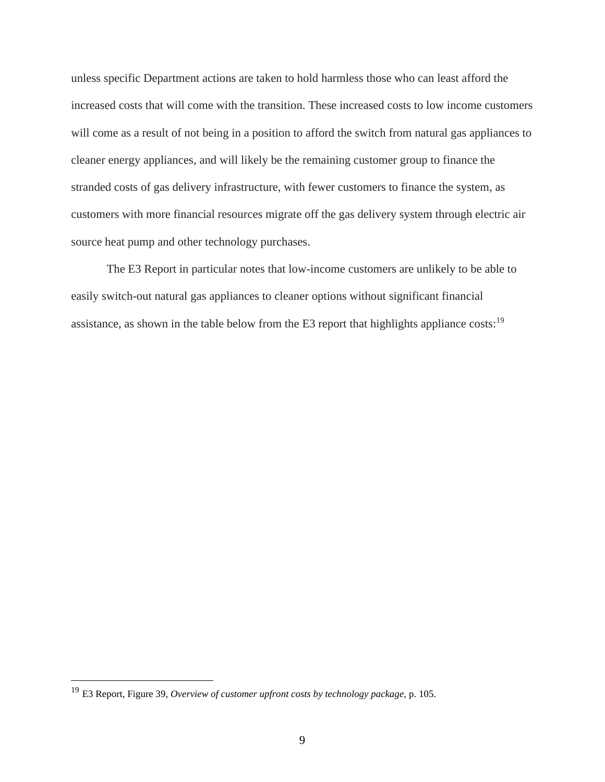unless specific Department actions are taken to hold harmless those who can least afford the increased costs that will come with the transition. These increased costs to low income customers will come as a result of not being in a position to afford the switch from natural gas appliances to cleaner energy appliances, and will likely be the remaining customer group to finance the stranded costs of gas delivery infrastructure, with fewer customers to finance the system, as customers with more financial resources migrate off the gas delivery system through electric air source heat pump and other technology purchases.

The E3 Report in particular notes that low-income customers are unlikely to be able to easily switch-out natural gas appliances to cleaner options without significant financial assistance, as shown in the table below from the E3 report that highlights appliance costs:<sup>19</sup>

<sup>19</sup> E3 Report, Figure 39, *Overview of customer upfront costs by technology package,* p. 105.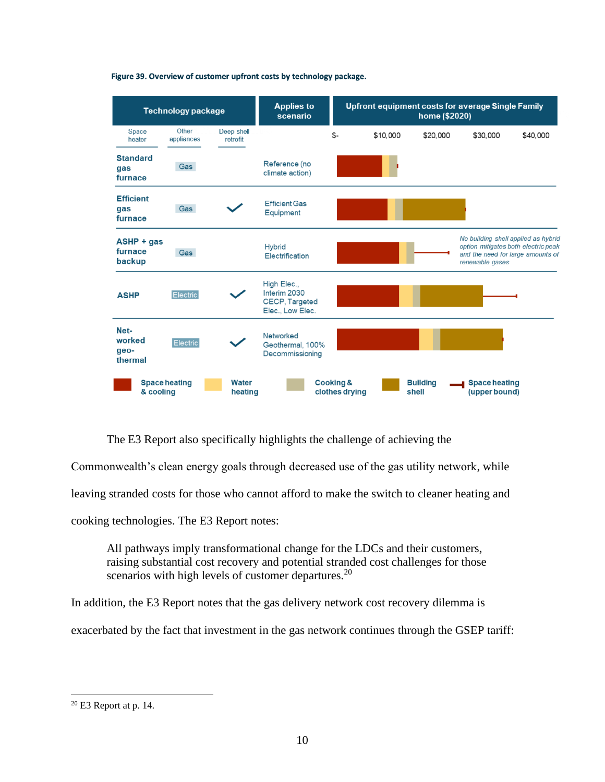

Figure 39. Overview of customer upfront costs by technology package.

The E3 Report also specifically highlights the challenge of achieving the

Commonwealth's clean energy goals through decreased use of the gas utility network, while

leaving stranded costs for those who cannot afford to make the switch to cleaner heating and

cooking technologies. The E3 Report notes:

All pathways imply transformational change for the LDCs and their customers, raising substantial cost recovery and potential stranded cost challenges for those scenarios with high levels of customer departures.<sup>20</sup>

In addition, the E3 Report notes that the gas delivery network cost recovery dilemma is

exacerbated by the fact that investment in the gas network continues through the GSEP tariff:

<sup>20</sup> E3 Report at p. 14.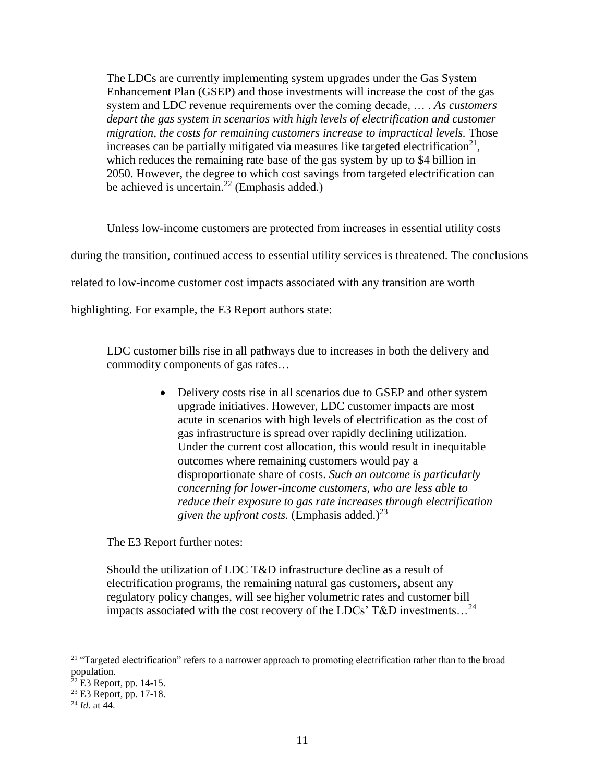The LDCs are currently implementing system upgrades under the Gas System Enhancement Plan (GSEP) and those investments will increase the cost of the gas system and LDC revenue requirements over the coming decade, … . *As customers depart the gas system in scenarios with high levels of electrification and customer migration, the costs for remaining customers increase to impractical levels.* Those increases can be partially mitigated via measures like targeted electrification<sup>21</sup>, which reduces the remaining rate base of the gas system by up to \$4 billion in 2050. However, the degree to which cost savings from targeted electrification can be achieved is uncertain.<sup>22</sup> (Emphasis added.)

Unless low-income customers are protected from increases in essential utility costs during the transition, continued access to essential utility services is threatened. The conclusions related to low-income customer cost impacts associated with any transition are worth highlighting. For example, the E3 Report authors state:

LDC customer bills rise in all pathways due to increases in both the delivery and commodity components of gas rates…

> • Delivery costs rise in all scenarios due to GSEP and other system upgrade initiatives. However, LDC customer impacts are most acute in scenarios with high levels of electrification as the cost of gas infrastructure is spread over rapidly declining utilization. Under the current cost allocation, this would result in inequitable outcomes where remaining customers would pay a disproportionate share of costs. *Such an outcome is particularly concerning for lower-income customers, who are less able to reduce their exposure to gas rate increases through electrification given the upfront costs.* (Emphasis added.)<sup>23</sup>

The E3 Report further notes:

Should the utilization of LDC T&D infrastructure decline as a result of electrification programs, the remaining natural gas customers, absent any regulatory policy changes, will see higher volumetric rates and customer bill impacts associated with the cost recovery of the LDCs' T&D investments...<sup>24</sup>

<sup>&</sup>lt;sup>21</sup> "Targeted electrification" refers to a narrower approach to promoting electrification rather than to the broad population.

 $^{22}$  E3 Report, pp. 14-15.

<sup>&</sup>lt;sup>23</sup> E3 Report, pp. 17-18.

<sup>24</sup> *Id.* at 44.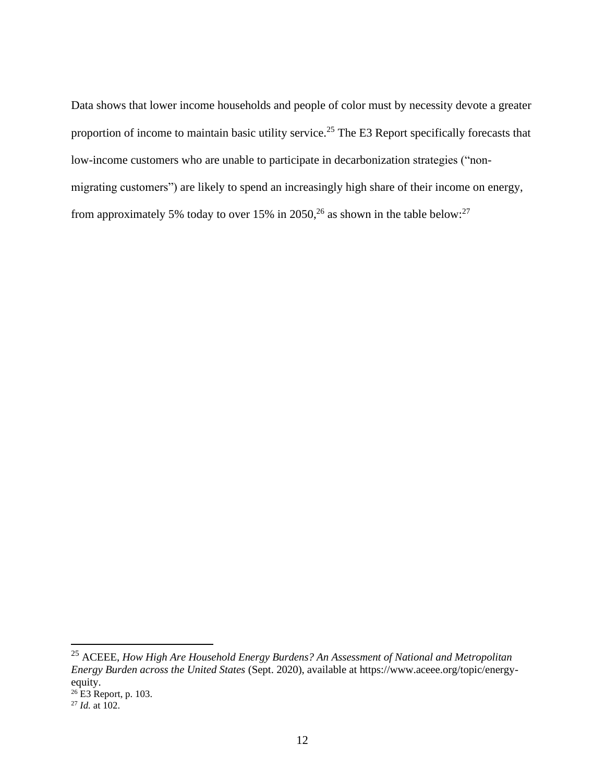Data shows that lower income households and people of color must by necessity devote a greater proportion of income to maintain basic utility service.<sup>25</sup> The E3 Report specifically forecasts that low-income customers who are unable to participate in decarbonization strategies ("nonmigrating customers") are likely to spend an increasingly high share of their income on energy, from approximately 5% today to over 15% in 2050,  $^{26}$  as shown in the table below:  $^{27}$ 

<sup>25</sup> ACEEE, *How High Are Household Energy Burdens? An Assessment of National and Metropolitan Energy Burden across the United States* (Sept. 2020), available at https://www.aceee.org/topic/energyequity.

 $26$  E3 Report, p. 103.

<sup>27</sup> *Id.* at 102.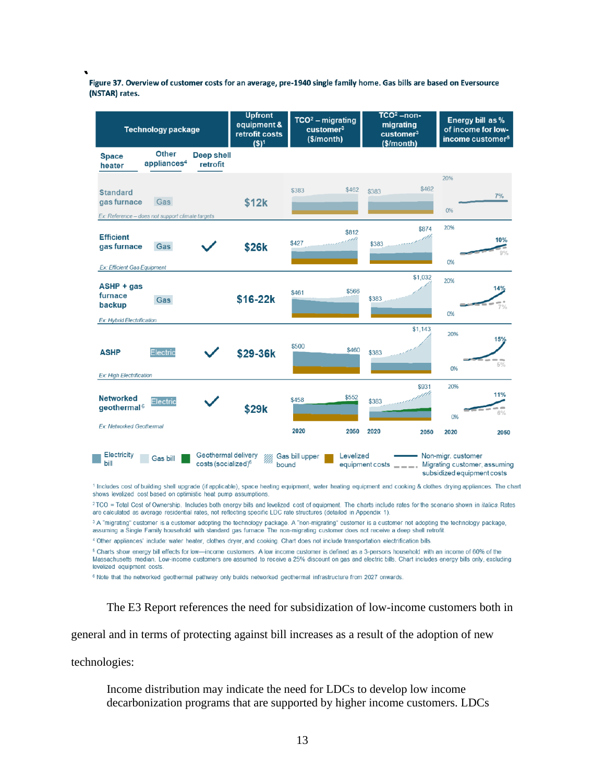Figure 37. Overview of customer costs for an average, pre-1940 single family home. Gas bills are based on Eversource (NSTAR) rates.

| <b>Technology package</b>                                                                          | <b>Upfront</b><br>equipment &<br>retrofit costs<br>$(S)^1$ | $TCO2 - migrating$<br>customer <sup>3</sup><br>(\$/month) | $TCO2 - non-$<br>migrating<br>customer <sup>3</sup><br>\$/month) | Energy bill as %<br>of income for low-<br>income customer <sup>5</sup>           |
|----------------------------------------------------------------------------------------------------|------------------------------------------------------------|-----------------------------------------------------------|------------------------------------------------------------------|----------------------------------------------------------------------------------|
| <b>Other</b><br><b>Deep shell</b><br><b>Space</b><br>appliances <sup>4</sup><br>retrofit<br>heater |                                                            |                                                           |                                                                  |                                                                                  |
| <b>Standard</b><br>gas furnace<br>Gas<br>Ex: Reference - does not support climate targets          | \$12k                                                      | \$462<br>\$383                                            | \$462<br>\$383                                                   | 20%<br>7%<br>0%                                                                  |
| <b>Efficient</b><br>gas furnace<br>Gas<br>Ex: Efficient Gas Equipment                              | \$26k                                                      | \$812<br>vh<br>\$427                                      | \$874<br>\$383                                                   | 20%<br>10%<br>0%                                                                 |
| $ASHP + gas$<br>furnace<br>Gas<br>backup<br><b>Ex: Hybrid Electrification</b>                      | \$16-22k                                                   | \$566<br>\$461                                            | \$1,032<br>\$383                                                 | 20%<br>14%<br>0%                                                                 |
| Electric<br><b>ASHP</b><br>Ex: High Electrification                                                | \$29-36k                                                   | \$500<br>\$460                                            | \$1,143<br>\$383                                                 | 20%<br>15%<br>5%<br>0%                                                           |
| <b>Networked</b><br>Electric<br>geothermal <sup><math>6</math></sup><br>Ex: Networked Geothermal   | \$29k                                                      | \$552<br>\$458<br>2020<br>2050                            | \$931<br>\$383<br>2020<br>2050                                   | 20%<br>11%<br>6%<br>0%<br>2020<br>2050                                           |
| Electricity<br>Geothermal delivery<br>Gas bill<br>bill<br>costs (socialized) <sup>6</sup>          | W)<br>bound                                                | Levelized<br>Gas bill upper                               | equipment costs<br>$- - - -$                                     | Non-migr. customer<br>Migrating customer, assuming<br>subsidized equipment costs |

1 Includes cost of building shell upgrade (if applicable), space heating equipment, water heating equipment and cooking & clothes drying appliances. The chart shows levelized cost based on optimistic heat pump assumptions.

2TCO = Total Cost of Ownership. Includes both energy bills and levelized cost of equipment. The charts include rates for the scenario shown in italics. Rates are calculated as average residential rates, not reflecting specific LDC rate structures (detailed in Appendix 1).

<sup>3</sup> A "migrating" customer is a customer adopting the technology package. A "non-migrating" customer is a customer not adopting the technology package, assuming a Single Family household with standard gas furnace. The non-migrating customer does not receive a deep shell retrofit.

4 Other appliances' include: water heater, clothes dryer, and cooking. Chart does not include transportation electrification bills.

<sup>5</sup> Charts show energy bill effects for low-income customers. A low income customer is defined as a 3-persons household with an income of 60% of the Massachusetts median. Low-income customers are assumed to receive a 25% discount on gas and electric bills. Chart includes energy bills only, excluding levelized equipment costs.

<sup>6</sup> Note that the networked geothermal pathway only builds networked geothermal infrastructure from 2027 onwards.

The E3 Report references the need for subsidization of low-income customers both in

general and in terms of protecting against bill increases as a result of the adoption of new

technologies:

Income distribution may indicate the need for LDCs to develop low income decarbonization programs that are supported by higher income customers. LDCs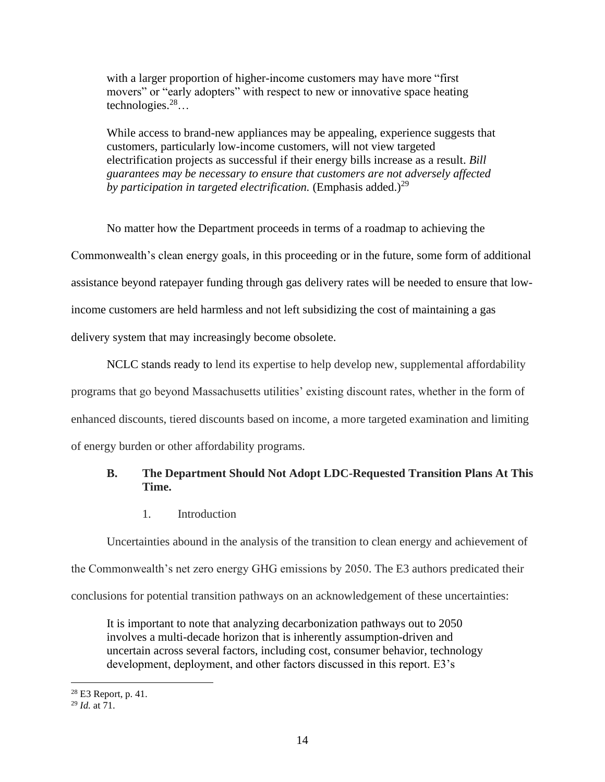with a larger proportion of higher-income customers may have more "first movers" or "early adopters" with respect to new or innovative space heating technologies. $28...$ 

While access to brand-new appliances may be appealing, experience suggests that customers, particularly low-income customers, will not view targeted electrification projects as successful if their energy bills increase as a result. *Bill guarantees may be necessary to ensure that customers are not adversely affected by participation in targeted electrification.* (Emphasis added.)<sup>29</sup>

No matter how the Department proceeds in terms of a roadmap to achieving the Commonwealth's clean energy goals, in this proceeding or in the future, some form of additional assistance beyond ratepayer funding through gas delivery rates will be needed to ensure that lowincome customers are held harmless and not left subsidizing the cost of maintaining a gas delivery system that may increasingly become obsolete.

NCLC stands ready to lend its expertise to help develop new, supplemental affordability programs that go beyond Massachusetts utilities' existing discount rates, whether in the form of enhanced discounts, tiered discounts based on income, a more targeted examination and limiting of energy burden or other affordability programs.

# **B. The Department Should Not Adopt LDC-Requested Transition Plans At This Time.**

1. Introduction

Uncertainties abound in the analysis of the transition to clean energy and achievement of the Commonwealth's net zero energy GHG emissions by 2050. The E3 authors predicated their

conclusions for potential transition pathways on an acknowledgement of these uncertainties:

It is important to note that analyzing decarbonization pathways out to 2050 involves a multi-decade horizon that is inherently assumption-driven and uncertain across several factors, including cost, consumer behavior, technology development, deployment, and other factors discussed in this report. E3's

<sup>28</sup> E3 Report, p. 41.

<sup>29</sup> *Id.* at 71.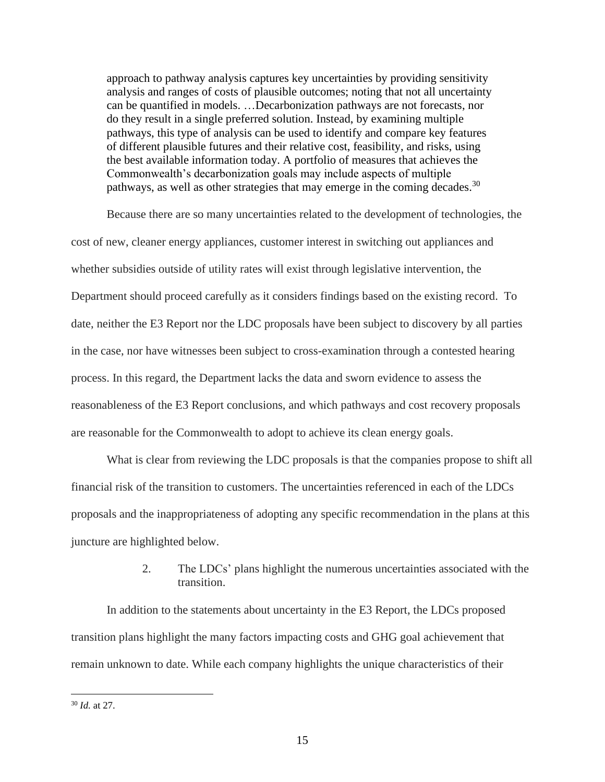approach to pathway analysis captures key uncertainties by providing sensitivity analysis and ranges of costs of plausible outcomes; noting that not all uncertainty can be quantified in models. …Decarbonization pathways are not forecasts, nor do they result in a single preferred solution. Instead, by examining multiple pathways, this type of analysis can be used to identify and compare key features of different plausible futures and their relative cost, feasibility, and risks, using the best available information today. A portfolio of measures that achieves the Commonwealth's decarbonization goals may include aspects of multiple pathways, as well as other strategies that may emerge in the coming decades.  $30$ 

Because there are so many uncertainties related to the development of technologies, the cost of new, cleaner energy appliances, customer interest in switching out appliances and whether subsidies outside of utility rates will exist through legislative intervention, the Department should proceed carefully as it considers findings based on the existing record. To date, neither the E3 Report nor the LDC proposals have been subject to discovery by all parties in the case, nor have witnesses been subject to cross-examination through a contested hearing process. In this regard, the Department lacks the data and sworn evidence to assess the reasonableness of the E3 Report conclusions, and which pathways and cost recovery proposals are reasonable for the Commonwealth to adopt to achieve its clean energy goals.

What is clear from reviewing the LDC proposals is that the companies propose to shift all financial risk of the transition to customers. The uncertainties referenced in each of the LDCs proposals and the inappropriateness of adopting any specific recommendation in the plans at this juncture are highlighted below.

# 2. The LDCs' plans highlight the numerous uncertainties associated with the transition.

In addition to the statements about uncertainty in the E3 Report, the LDCs proposed transition plans highlight the many factors impacting costs and GHG goal achievement that remain unknown to date. While each company highlights the unique characteristics of their

<sup>30</sup> *Id.* at 27.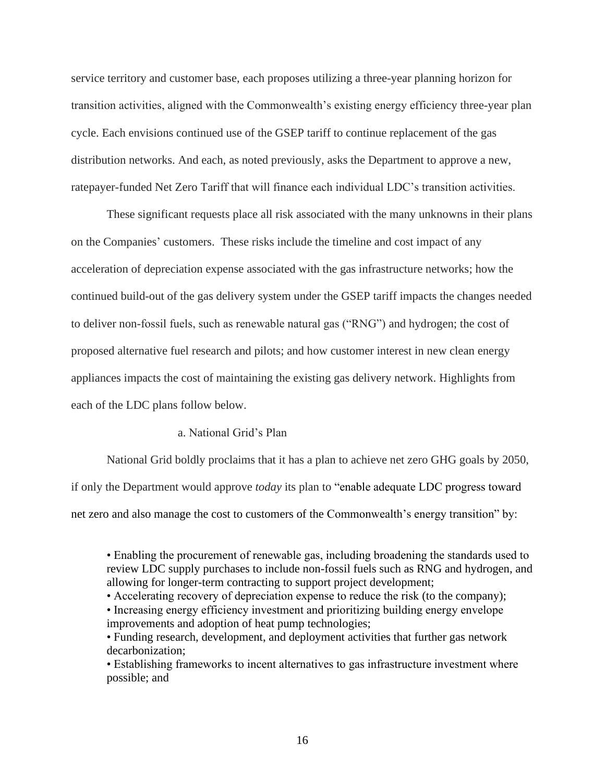service territory and customer base, each proposes utilizing a three-year planning horizon for transition activities, aligned with the Commonwealth's existing energy efficiency three-year plan cycle. Each envisions continued use of the GSEP tariff to continue replacement of the gas distribution networks. And each, as noted previously, asks the Department to approve a new, ratepayer-funded Net Zero Tariff that will finance each individual LDC's transition activities.

These significant requests place all risk associated with the many unknowns in their plans on the Companies' customers. These risks include the timeline and cost impact of any acceleration of depreciation expense associated with the gas infrastructure networks; how the continued build-out of the gas delivery system under the GSEP tariff impacts the changes needed to deliver non-fossil fuels, such as renewable natural gas ("RNG") and hydrogen; the cost of proposed alternative fuel research and pilots; and how customer interest in new clean energy appliances impacts the cost of maintaining the existing gas delivery network. Highlights from each of the LDC plans follow below.

#### a. National Grid's Plan

National Grid boldly proclaims that it has a plan to achieve net zero GHG goals by 2050, if only the Department would approve *today* its plan to "enable adequate LDC progress toward net zero and also manage the cost to customers of the Commonwealth's energy transition" by:

<sup>•</sup> Enabling the procurement of renewable gas, including broadening the standards used to review LDC supply purchases to include non-fossil fuels such as RNG and hydrogen, and allowing for longer-term contracting to support project development;

<sup>•</sup> Accelerating recovery of depreciation expense to reduce the risk (to the company);

<sup>•</sup> Increasing energy efficiency investment and prioritizing building energy envelope improvements and adoption of heat pump technologies;

<sup>•</sup> Funding research, development, and deployment activities that further gas network decarbonization;

<sup>•</sup> Establishing frameworks to incent alternatives to gas infrastructure investment where possible; and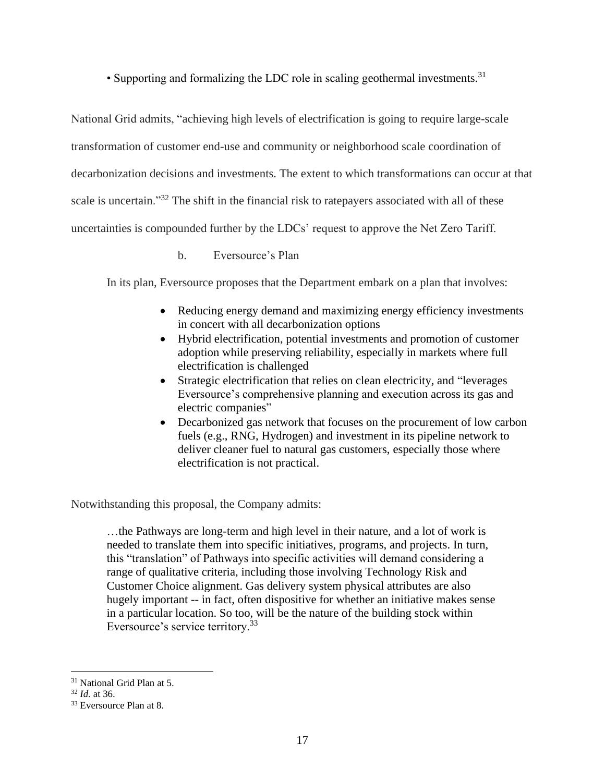• Supporting and formalizing the LDC role in scaling geothermal investments.<sup>31</sup>

National Grid admits, "achieving high levels of electrification is going to require large-scale transformation of customer end-use and community or neighborhood scale coordination of decarbonization decisions and investments. The extent to which transformations can occur at that scale is uncertain."<sup>32</sup> The shift in the financial risk to ratepayers associated with all of these uncertainties is compounded further by the LDCs' request to approve the Net Zero Tariff.

b. Eversource's Plan

In its plan, Eversource proposes that the Department embark on a plan that involves:

- Reducing energy demand and maximizing energy efficiency investments in concert with all decarbonization options
- Hybrid electrification, potential investments and promotion of customer adoption while preserving reliability, especially in markets where full electrification is challenged
- Strategic electrification that relies on clean electricity, and "leverages Eversource's comprehensive planning and execution across its gas and electric companies"
- Decarbonized gas network that focuses on the procurement of low carbon fuels (e.g., RNG, Hydrogen) and investment in its pipeline network to deliver cleaner fuel to natural gas customers, especially those where electrification is not practical.

Notwithstanding this proposal, the Company admits:

…the Pathways are long-term and high level in their nature, and a lot of work is needed to translate them into specific initiatives, programs, and projects. In turn, this "translation" of Pathways into specific activities will demand considering a range of qualitative criteria, including those involving Technology Risk and Customer Choice alignment. Gas delivery system physical attributes are also hugely important -- in fact, often dispositive for whether an initiative makes sense in a particular location. So too, will be the nature of the building stock within Eversource's service territory.<sup>33</sup>

<sup>31</sup> National Grid Plan at 5.

<sup>32</sup> *Id.* at 36.

<sup>&</sup>lt;sup>33</sup> Eversource Plan at 8.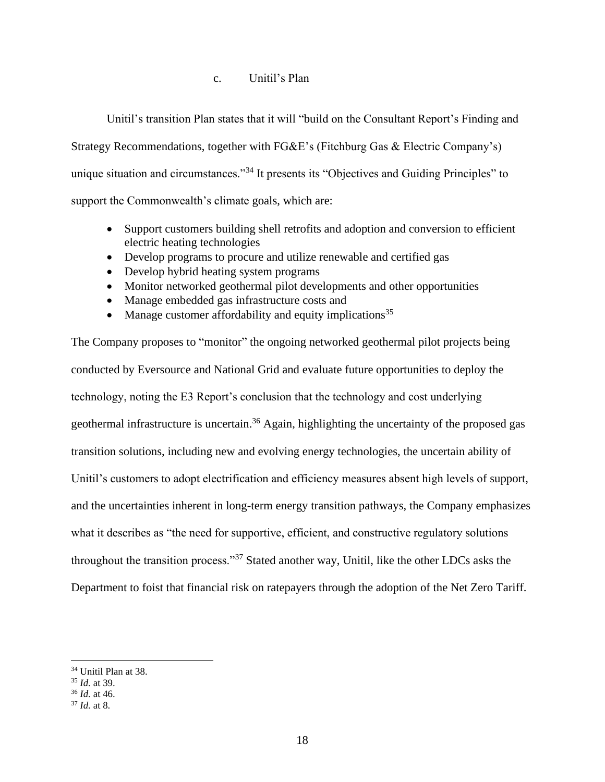## c. Unitil's Plan

Unitil's transition Plan states that it will "build on the Consultant Report's Finding and

Strategy Recommendations, together with FG&E's (Fitchburg Gas & Electric Company's)

unique situation and circumstances."<sup>34</sup> It presents its "Objectives and Guiding Principles" to

support the Commonwealth's climate goals, which are:

- Support customers building shell retrofits and adoption and conversion to efficient electric heating technologies
- Develop programs to procure and utilize renewable and certified gas
- Develop hybrid heating system programs
- Monitor networked geothermal pilot developments and other opportunities
- Manage embedded gas infrastructure costs and
- Manage customer affordability and equity implications<sup>35</sup>

The Company proposes to "monitor" the ongoing networked geothermal pilot projects being conducted by Eversource and National Grid and evaluate future opportunities to deploy the technology, noting the E3 Report's conclusion that the technology and cost underlying geothermal infrastructure is uncertain.<sup>36</sup> Again, highlighting the uncertainty of the proposed gas transition solutions, including new and evolving energy technologies, the uncertain ability of Unitil's customers to adopt electrification and efficiency measures absent high levels of support, and the uncertainties inherent in long-term energy transition pathways, the Company emphasizes what it describes as "the need for supportive, efficient, and constructive regulatory solutions throughout the transition process."<sup>37</sup> Stated another way, Unitil, like the other LDCs asks the Department to foist that financial risk on ratepayers through the adoption of the Net Zero Tariff.

<sup>34</sup> Unitil Plan at 38.

<sup>35</sup> *Id.* at 39.

<sup>36</sup> *Id.* at 46.

<sup>37</sup> *Id.* at 8.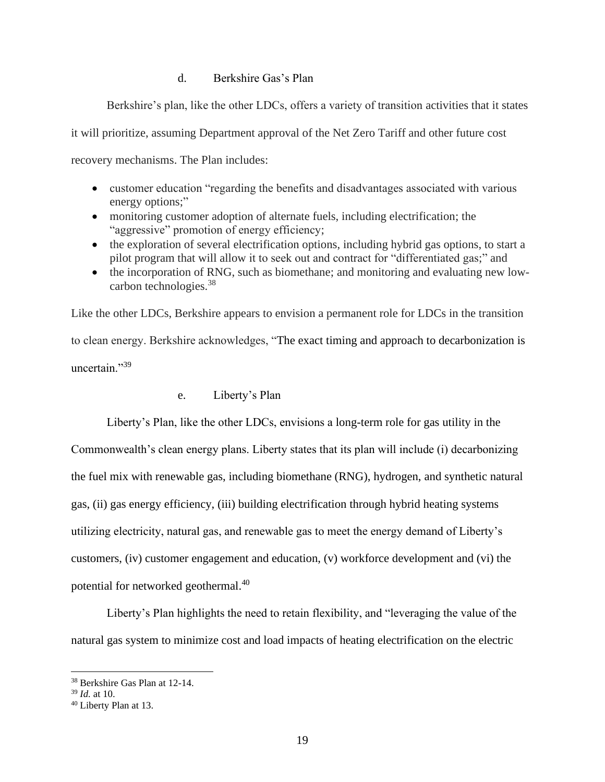## d. Berkshire Gas's Plan

Berkshire's plan, like the other LDCs, offers a variety of transition activities that it states

it will prioritize, assuming Department approval of the Net Zero Tariff and other future cost

recovery mechanisms. The Plan includes:

- customer education "regarding the benefits and disadvantages associated with various energy options;"
- monitoring customer adoption of alternate fuels, including electrification; the "aggressive" promotion of energy efficiency;
- the exploration of several electrification options, including hybrid gas options, to start a pilot program that will allow it to seek out and contract for "differentiated gas;" and
- the incorporation of RNG, such as biomethane; and monitoring and evaluating new lowcarbon technologies.<sup>38</sup>

Like the other LDCs, Berkshire appears to envision a permanent role for LDCs in the transition to clean energy. Berkshire acknowledges, "The exact timing and approach to decarbonization is uncertain."39

#### e. Liberty's Plan

Liberty's Plan, like the other LDCs, envisions a long-term role for gas utility in the Commonwealth's clean energy plans. Liberty states that its plan will include (i) decarbonizing the fuel mix with renewable gas, including biomethane (RNG), hydrogen, and synthetic natural gas, (ii) gas energy efficiency, (iii) building electrification through hybrid heating systems utilizing electricity, natural gas, and renewable gas to meet the energy demand of Liberty's customers, (iv) customer engagement and education, (v) workforce development and (vi) the potential for networked geothermal.<sup>40</sup>

Liberty's Plan highlights the need to retain flexibility, and "leveraging the value of the natural gas system to minimize cost and load impacts of heating electrification on the electric

<sup>38</sup> Berkshire Gas Plan at 12-14.

<sup>39</sup> *Id.* at 10.

<sup>40</sup> Liberty Plan at 13.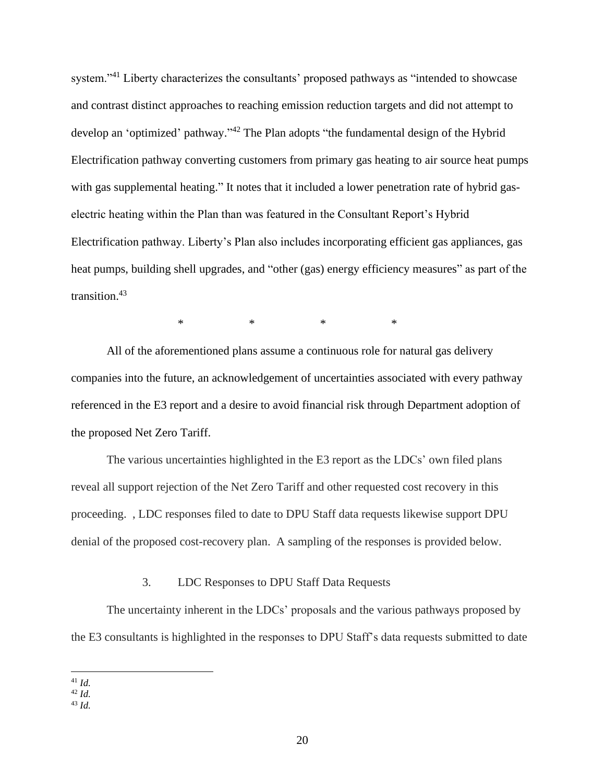system."<sup>41</sup> Liberty characterizes the consultants' proposed pathways as "intended to showcase and contrast distinct approaches to reaching emission reduction targets and did not attempt to develop an 'optimized' pathway."<sup>42</sup> The Plan adopts "the fundamental design of the Hybrid Electrification pathway converting customers from primary gas heating to air source heat pumps with gas supplemental heating." It notes that it included a lower penetration rate of hybrid gaselectric heating within the Plan than was featured in the Consultant Report's Hybrid Electrification pathway. Liberty's Plan also includes incorporating efficient gas appliances, gas heat pumps, building shell upgrades, and "other (gas) energy efficiency measures" as part of the transition. 43

\* \* \* \*

All of the aforementioned plans assume a continuous role for natural gas delivery companies into the future, an acknowledgement of uncertainties associated with every pathway referenced in the E3 report and a desire to avoid financial risk through Department adoption of the proposed Net Zero Tariff.

The various uncertainties highlighted in the E3 report as the LDCs' own filed plans reveal all support rejection of the Net Zero Tariff and other requested cost recovery in this proceeding. , LDC responses filed to date to DPU Staff data requests likewise support DPU denial of the proposed cost-recovery plan. A sampling of the responses is provided below.

#### 3. LDC Responses to DPU Staff Data Requests

The uncertainty inherent in the LDCs' proposals and the various pathways proposed by the E3 consultants is highlighted in the responses to DPU Staff's data requests submitted to date

<sup>41</sup> *Id.* 

 $^{42}$  *Id.* 

<sup>43</sup> *Id.*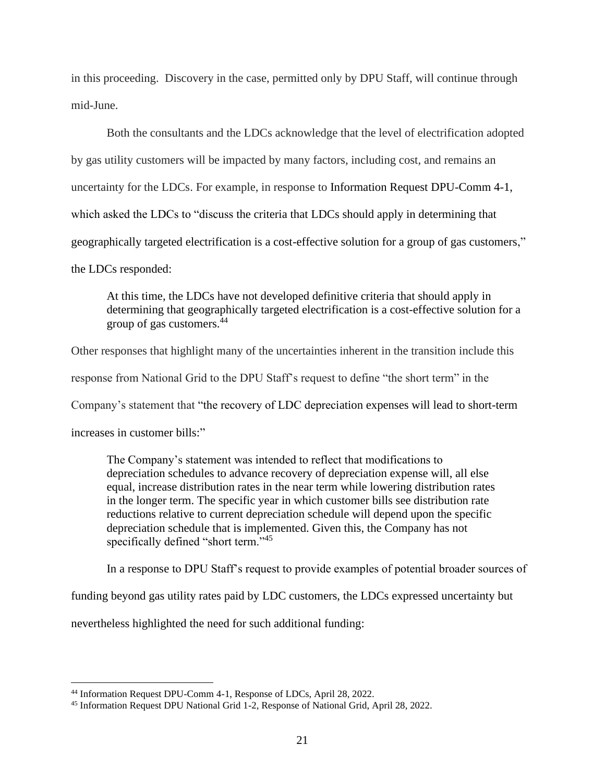in this proceeding. Discovery in the case, permitted only by DPU Staff, will continue through mid-June.

Both the consultants and the LDCs acknowledge that the level of electrification adopted by gas utility customers will be impacted by many factors, including cost, and remains an uncertainty for the LDCs. For example, in response to Information Request DPU-Comm 4-1, which asked the LDCs to "discuss the criteria that LDCs should apply in determining that geographically targeted electrification is a cost-effective solution for a group of gas customers," the LDCs responded:

At this time, the LDCs have not developed definitive criteria that should apply in determining that geographically targeted electrification is a cost-effective solution for a group of gas customers.<sup>44</sup>

Other responses that highlight many of the uncertainties inherent in the transition include this response from National Grid to the DPU Staff's request to define "the short term" in the Company's statement that "the recovery of LDC depreciation expenses will lead to short-term increases in customer bills:"

The Company's statement was intended to reflect that modifications to depreciation schedules to advance recovery of depreciation expense will, all else equal, increase distribution rates in the near term while lowering distribution rates in the longer term. The specific year in which customer bills see distribution rate reductions relative to current depreciation schedule will depend upon the specific depreciation schedule that is implemented. Given this, the Company has not specifically defined "short term."<sup>45</sup>

In a response to DPU Staff's request to provide examples of potential broader sources of

funding beyond gas utility rates paid by LDC customers, the LDCs expressed uncertainty but

nevertheless highlighted the need for such additional funding:

<sup>44</sup> Information Request DPU-Comm 4-1, Response of LDCs, April 28, 2022.

<sup>45</sup> Information Request DPU National Grid 1-2, Response of National Grid, April 28, 2022.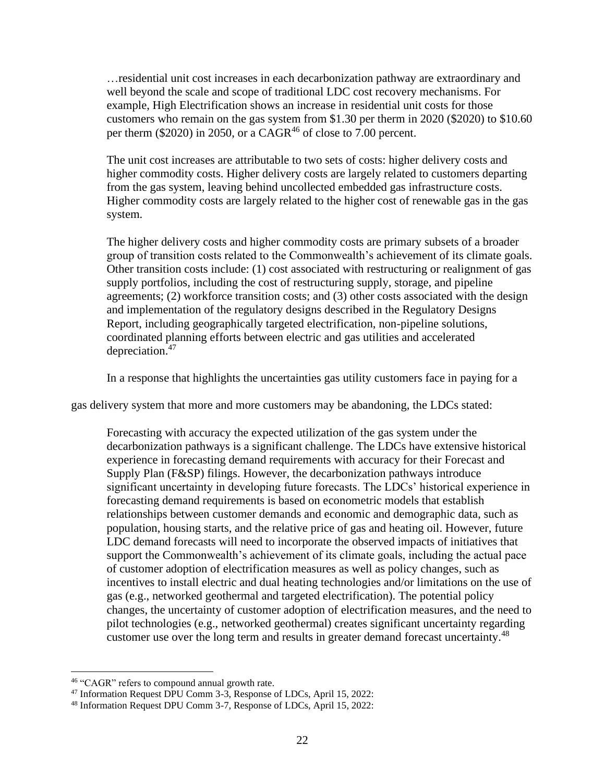…residential unit cost increases in each decarbonization pathway are extraordinary and well beyond the scale and scope of traditional LDC cost recovery mechanisms. For example, High Electrification shows an increase in residential unit costs for those customers who remain on the gas system from \$1.30 per therm in 2020 (\$2020) to \$10.60 per therm (\$2020) in 2050, or a  $CAGR^{46}$  of close to 7.00 percent.

The unit cost increases are attributable to two sets of costs: higher delivery costs and higher commodity costs. Higher delivery costs are largely related to customers departing from the gas system, leaving behind uncollected embedded gas infrastructure costs. Higher commodity costs are largely related to the higher cost of renewable gas in the gas system.

The higher delivery costs and higher commodity costs are primary subsets of a broader group of transition costs related to the Commonwealth's achievement of its climate goals. Other transition costs include: (1) cost associated with restructuring or realignment of gas supply portfolios, including the cost of restructuring supply, storage, and pipeline agreements; (2) workforce transition costs; and (3) other costs associated with the design and implementation of the regulatory designs described in the Regulatory Designs Report, including geographically targeted electrification, non-pipeline solutions, coordinated planning efforts between electric and gas utilities and accelerated depreciation.<sup>47</sup>

In a response that highlights the uncertainties gas utility customers face in paying for a

gas delivery system that more and more customers may be abandoning, the LDCs stated:

Forecasting with accuracy the expected utilization of the gas system under the decarbonization pathways is a significant challenge. The LDCs have extensive historical experience in forecasting demand requirements with accuracy for their Forecast and Supply Plan (F&SP) filings. However, the decarbonization pathways introduce significant uncertainty in developing future forecasts. The LDCs' historical experience in forecasting demand requirements is based on econometric models that establish relationships between customer demands and economic and demographic data, such as population, housing starts, and the relative price of gas and heating oil. However, future LDC demand forecasts will need to incorporate the observed impacts of initiatives that support the Commonwealth's achievement of its climate goals, including the actual pace of customer adoption of electrification measures as well as policy changes, such as incentives to install electric and dual heating technologies and/or limitations on the use of gas (e.g., networked geothermal and targeted electrification). The potential policy changes, the uncertainty of customer adoption of electrification measures, and the need to pilot technologies (e.g., networked geothermal) creates significant uncertainty regarding customer use over the long term and results in greater demand forecast uncertainty.<sup>48</sup>

<sup>46</sup> "CAGR" refers to compound annual growth rate.

<sup>47</sup> Information Request DPU Comm 3-3, Response of LDCs, April 15, 2022:

<sup>48</sup> Information Request DPU Comm 3-7, Response of LDCs, April 15, 2022: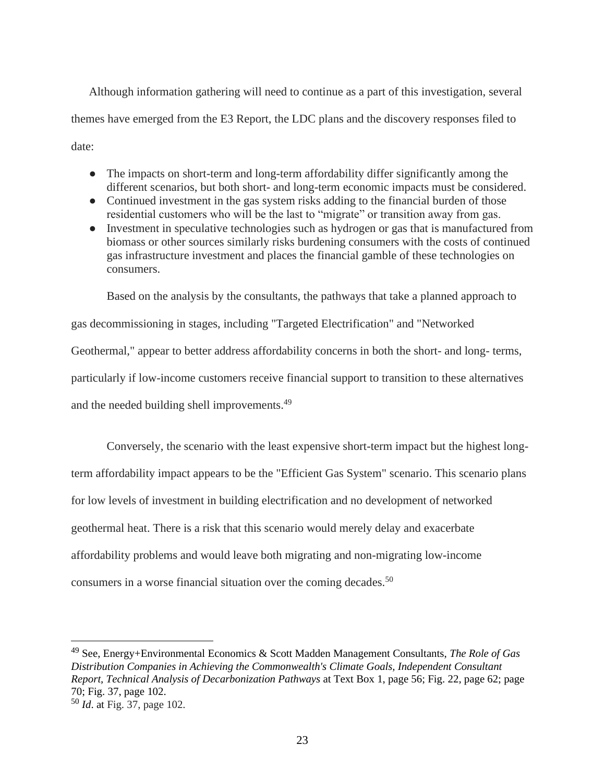Although information gathering will need to continue as a part of this investigation, several themes have emerged from the E3 Report, the LDC plans and the discovery responses filed to date:

- The impacts on short-term and long-term affordability differ significantly among the different scenarios, but both short- and long-term economic impacts must be considered.
- Continued investment in the gas system risks adding to the financial burden of those residential customers who will be the last to "migrate" or transition away from gas.
- Investment in speculative technologies such as hydrogen or gas that is manufactured from biomass or other sources similarly risks burdening consumers with the costs of continued gas infrastructure investment and places the financial gamble of these technologies on consumers.

Based on the analysis by the consultants, the pathways that take a planned approach to

gas decommissioning in stages, including "Targeted Electrification" and "Networked Geothermal," appear to better address affordability concerns in both the short- and long- terms, particularly if low-income customers receive financial support to transition to these alternatives and the needed building shell improvements.<sup>49</sup>

Conversely, the scenario with the least expensive short-term impact but the highest longterm affordability impact appears to be the "Efficient Gas System" scenario. This scenario plans for low levels of investment in building electrification and no development of networked geothermal heat. There is a risk that this scenario would merely delay and exacerbate affordability problems and would leave both migrating and non-migrating low-income consumers in a worse financial situation over the coming decades.<sup>50</sup>

<sup>49</sup> See, Energy+Environmental Economics & Scott Madden Management Consultants, *The Role of Gas Distribution Companies in Achieving the Commonwealth's Climate Goals, Independent Consultant Report, Technical Analysis of Decarbonization Pathways* at Text Box 1, page 56; Fig. 22, page 62; page 70; Fig. 37, page 102.

<sup>50</sup> *Id*. at Fig. 37, page 102.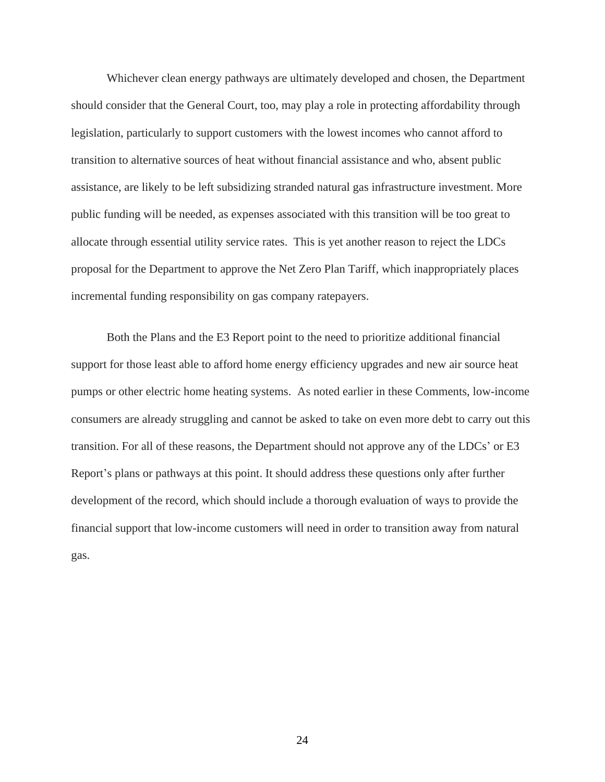Whichever clean energy pathways are ultimately developed and chosen, the Department should consider that the General Court, too, may play a role in protecting affordability through legislation, particularly to support customers with the lowest incomes who cannot afford to transition to alternative sources of heat without financial assistance and who, absent public assistance, are likely to be left subsidizing stranded natural gas infrastructure investment. More public funding will be needed, as expenses associated with this transition will be too great to allocate through essential utility service rates. This is yet another reason to reject the LDCs proposal for the Department to approve the Net Zero Plan Tariff, which inappropriately places incremental funding responsibility on gas company ratepayers.

Both the Plans and the E3 Report point to the need to prioritize additional financial support for those least able to afford home energy efficiency upgrades and new air source heat pumps or other electric home heating systems. As noted earlier in these Comments, low-income consumers are already struggling and cannot be asked to take on even more debt to carry out this transition. For all of these reasons, the Department should not approve any of the LDCs' or E3 Report's plans or pathways at this point. It should address these questions only after further development of the record, which should include a thorough evaluation of ways to provide the financial support that low-income customers will need in order to transition away from natural gas.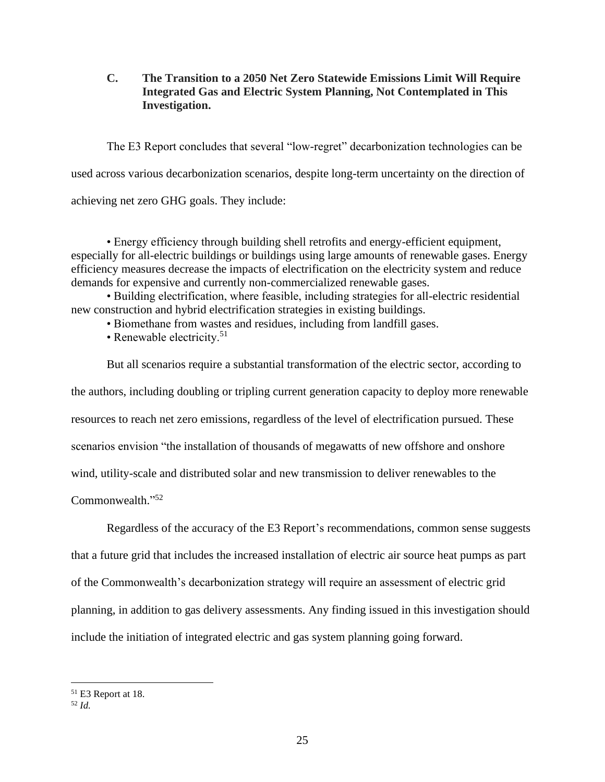**C. The Transition to a 2050 Net Zero Statewide Emissions Limit Will Require Integrated Gas and Electric System Planning, Not Contemplated in This Investigation.**

The E3 Report concludes that several "low-regret" decarbonization technologies can be used across various decarbonization scenarios, despite long-term uncertainty on the direction of achieving net zero GHG goals. They include:

• Energy efficiency through building shell retrofits and energy-efficient equipment, especially for all-electric buildings or buildings using large amounts of renewable gases. Energy efficiency measures decrease the impacts of electrification on the electricity system and reduce demands for expensive and currently non-commercialized renewable gases.

• Building electrification, where feasible, including strategies for all-electric residential new construction and hybrid electrification strategies in existing buildings.

• Biomethane from wastes and residues, including from landfill gases.

• Renewable electricity.<sup>51</sup>

But all scenarios require a substantial transformation of the electric sector, according to the authors, including doubling or tripling current generation capacity to deploy more renewable resources to reach net zero emissions, regardless of the level of electrification pursued. These scenarios envision "the installation of thousands of megawatts of new offshore and onshore wind, utility-scale and distributed solar and new transmission to deliver renewables to the Commonwealth." 52

Regardless of the accuracy of the E3 Report's recommendations, common sense suggests

that a future grid that includes the increased installation of electric air source heat pumps as part

of the Commonwealth's decarbonization strategy will require an assessment of electric grid

planning, in addition to gas delivery assessments. Any finding issued in this investigation should

include the initiation of integrated electric and gas system planning going forward.

<sup>51</sup> E3 Report at 18.

<sup>52</sup> *Id.*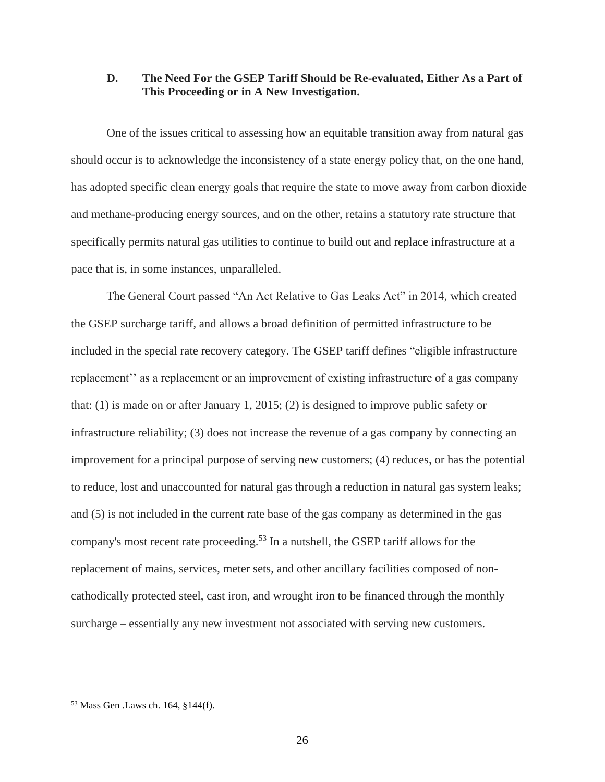#### **D. The Need For the GSEP Tariff Should be Re-evaluated, Either As a Part of This Proceeding or in A New Investigation.**

One of the issues critical to assessing how an equitable transition away from natural gas should occur is to acknowledge the inconsistency of a state energy policy that, on the one hand, has adopted specific clean energy goals that require the state to move away from carbon dioxide and methane-producing energy sources, and on the other, retains a statutory rate structure that specifically permits natural gas utilities to continue to build out and replace infrastructure at a pace that is, in some instances, unparalleled.

The General Court passed "An Act Relative to Gas Leaks Act" in 2014, which created the GSEP surcharge tariff, and allows a broad definition of permitted infrastructure to be included in the special rate recovery category. The GSEP tariff defines "eligible infrastructure replacement'' as a replacement or an improvement of existing infrastructure of a gas company that: (1) is made on or after January 1, 2015; (2) is designed to improve public safety or infrastructure reliability; (3) does not increase the revenue of a gas company by connecting an improvement for a principal purpose of serving new customers; (4) reduces, or has the potential to reduce, lost and unaccounted for natural gas through a reduction in natural gas system leaks; and (5) is not included in the current rate base of the gas company as determined in the gas company's most recent rate proceeding.<sup>53</sup> In a nutshell, the GSEP tariff allows for the replacement of mains, services, meter sets, and other ancillary facilities composed of noncathodically protected steel, cast iron, and wrought iron to be financed through the monthly surcharge – essentially any new investment not associated with serving new customers.

<sup>53</sup> Mass Gen .Laws ch. 164, §144(f).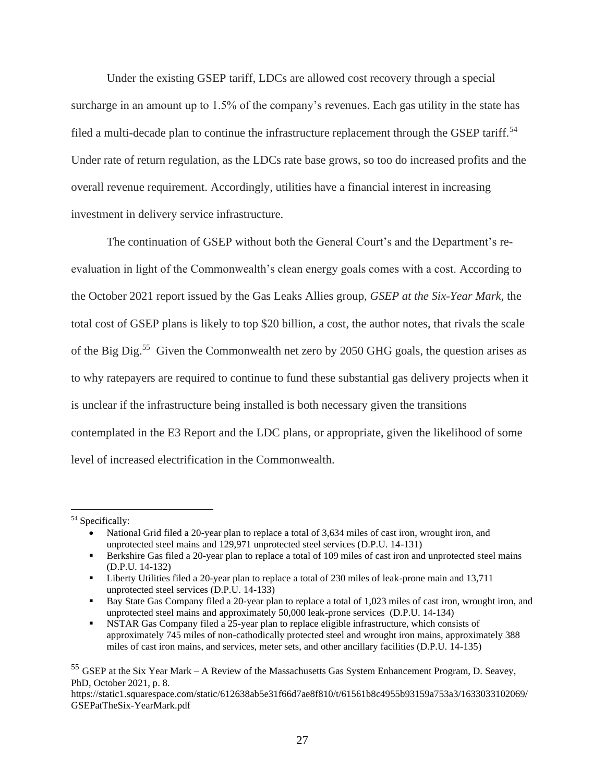Under the existing GSEP tariff, LDCs are allowed cost recovery through a special surcharge in an amount up to 1.5% of the company's revenues. Each gas utility in the state has filed a multi-decade plan to continue the infrastructure replacement through the GSEP tariff.<sup>54</sup> Under rate of return regulation, as the LDCs rate base grows, so too do increased profits and the overall revenue requirement. Accordingly, utilities have a financial interest in increasing investment in delivery service infrastructure.

The continuation of GSEP without both the General Court's and the Department's reevaluation in light of the Commonwealth's clean energy goals comes with a cost. According to the October 2021 report issued by the Gas Leaks Allies group, *GSEP at the Six-Year Mark,* the total cost of GSEP plans is likely to top \$20 billion, a cost, the author notes, that rivals the scale of the Big Dig.<sup>55</sup> Given the Commonwealth net zero by 2050 GHG goals, the question arises as to why ratepayers are required to continue to fund these substantial gas delivery projects when it is unclear if the infrastructure being installed is both necessary given the transitions contemplated in the E3 Report and the LDC plans, or appropriate, given the likelihood of some level of increased electrification in the Commonwealth.

<sup>54</sup> Specifically:

<sup>•</sup> National Grid filed a 20-year plan to replace a total of 3,634 miles of cast iron, wrought iron, and unprotected steel mains and 129,971 unprotected steel services (D.P.U. 14-131)

<sup>▪</sup> Berkshire Gas filed a 20-year plan to replace a total of 109 miles of cast iron and unprotected steel mains (D.P.U. 14-132)

<sup>▪</sup> Liberty Utilities filed a 20-year plan to replace a total of 230 miles of leak-prone main and 13,711 unprotected steel services (D.P.U. 14-133)

<sup>▪</sup> Bay State Gas Company filed a 20-year plan to replace a total of 1,023 miles of cast iron, wrought iron, and unprotected steel mains and approximately 50,000 leak-prone services (D.P.U. 14-134)

NSTAR Gas Company filed a 25-year plan to replace eligible infrastructure, which consists of approximately 745 miles of non-cathodically protected steel and wrought iron mains, approximately 388 miles of cast iron mains, and services, meter sets, and other ancillary facilities (D.P.U. 14-135)

<sup>55</sup> GSEP at the Six Year Mark – A Review of the Massachusetts Gas System Enhancement Program, D. Seavey, PhD, October 2021, p. 8.

https://static1.squarespace.com/static/612638ab5e31f66d7ae8f810/t/61561b8c4955b93159a753a3/1633033102069/ GSEPatTheSix-YearMark.pdf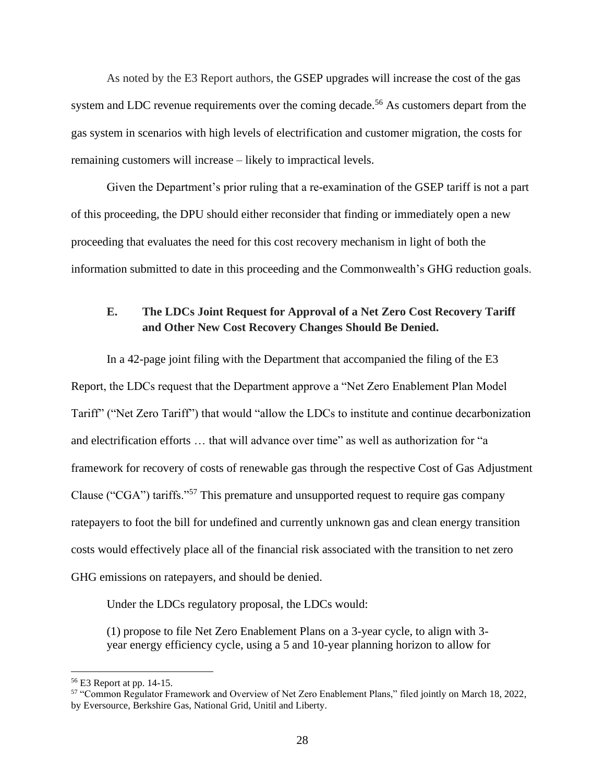As noted by the E3 Report authors, the GSEP upgrades will increase the cost of the gas system and LDC revenue requirements over the coming decade.<sup>56</sup> As customers depart from the gas system in scenarios with high levels of electrification and customer migration, the costs for remaining customers will increase – likely to impractical levels.

Given the Department's prior ruling that a re-examination of the GSEP tariff is not a part of this proceeding, the DPU should either reconsider that finding or immediately open a new proceeding that evaluates the need for this cost recovery mechanism in light of both the information submitted to date in this proceeding and the Commonwealth's GHG reduction goals.

# **E. The LDCs Joint Request for Approval of a Net Zero Cost Recovery Tariff and Other New Cost Recovery Changes Should Be Denied.**

In a 42-page joint filing with the Department that accompanied the filing of the E3 Report, the LDCs request that the Department approve a "Net Zero Enablement Plan Model Tariff" ("Net Zero Tariff") that would "allow the LDCs to institute and continue decarbonization and electrification efforts … that will advance over time" as well as authorization for "a framework for recovery of costs of renewable gas through the respective Cost of Gas Adjustment Clause ("CGA") tariffs."<sup>57</sup> This premature and unsupported request to require gas company ratepayers to foot the bill for undefined and currently unknown gas and clean energy transition costs would effectively place all of the financial risk associated with the transition to net zero GHG emissions on ratepayers, and should be denied.

Under the LDCs regulatory proposal, the LDCs would:

(1) propose to file Net Zero Enablement Plans on a 3-year cycle, to align with 3 year energy efficiency cycle, using a 5 and 10-year planning horizon to allow for

<sup>56</sup> E3 Report at pp. 14-15.

<sup>57</sup> "Common Regulator Framework and Overview of Net Zero Enablement Plans," filed jointly on March 18, 2022, by Eversource, Berkshire Gas, National Grid, Unitil and Liberty.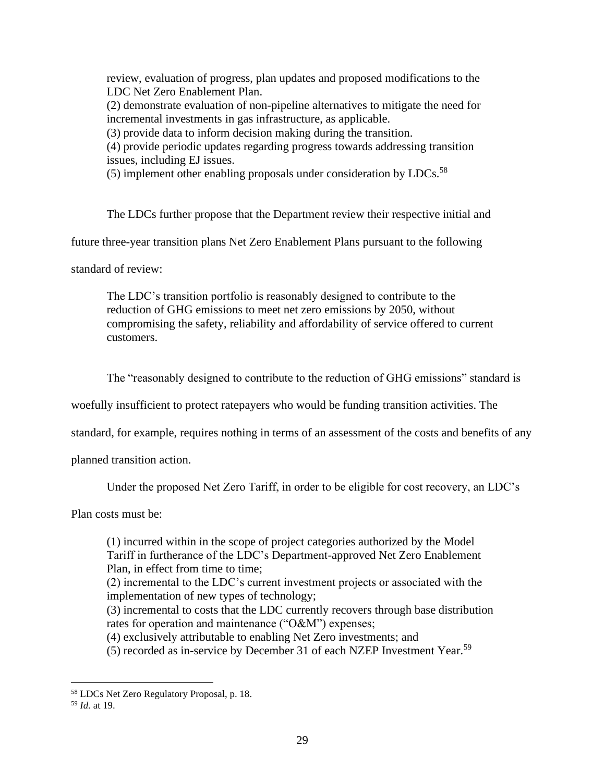review, evaluation of progress, plan updates and proposed modifications to the LDC Net Zero Enablement Plan. (2) demonstrate evaluation of non-pipeline alternatives to mitigate the need for incremental investments in gas infrastructure, as applicable. (3) provide data to inform decision making during the transition. (4) provide periodic updates regarding progress towards addressing transition issues, including EJ issues.

(5) implement other enabling proposals under consideration by LDCs. $^{58}$ 

The LDCs further propose that the Department review their respective initial and

future three-year transition plans Net Zero Enablement Plans pursuant to the following

standard of review:

The LDC's transition portfolio is reasonably designed to contribute to the reduction of GHG emissions to meet net zero emissions by 2050, without compromising the safety, reliability and affordability of service offered to current customers.

The "reasonably designed to contribute to the reduction of GHG emissions" standard is

woefully insufficient to protect ratepayers who would be funding transition activities. The

standard, for example, requires nothing in terms of an assessment of the costs and benefits of any

planned transition action.

Under the proposed Net Zero Tariff, in order to be eligible for cost recovery, an LDC's

Plan costs must be:

(1) incurred within in the scope of project categories authorized by the Model Tariff in furtherance of the LDC's Department-approved Net Zero Enablement Plan, in effect from time to time;

(2) incremental to the LDC's current investment projects or associated with the implementation of new types of technology;

(3) incremental to costs that the LDC currently recovers through base distribution rates for operation and maintenance ("O&M") expenses;

(4) exclusively attributable to enabling Net Zero investments; and

(5) recorded as in-service by December 31 of each NZEP Investment Year.<sup>59</sup>

<sup>58</sup> LDCs Net Zero Regulatory Proposal, p. 18.

<sup>59</sup> *Id.* at 19.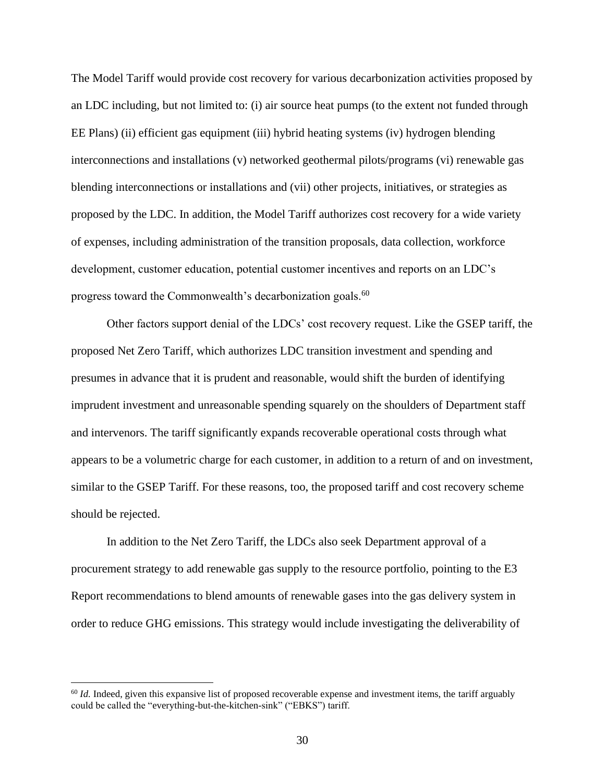The Model Tariff would provide cost recovery for various decarbonization activities proposed by an LDC including, but not limited to: (i) air source heat pumps (to the extent not funded through EE Plans) (ii) efficient gas equipment (iii) hybrid heating systems (iv) hydrogen blending interconnections and installations (v) networked geothermal pilots/programs (vi) renewable gas blending interconnections or installations and (vii) other projects, initiatives, or strategies as proposed by the LDC. In addition, the Model Tariff authorizes cost recovery for a wide variety of expenses, including administration of the transition proposals, data collection, workforce development, customer education, potential customer incentives and reports on an LDC's progress toward the Commonwealth's decarbonization goals.<sup>60</sup>

Other factors support denial of the LDCs' cost recovery request. Like the GSEP tariff, the proposed Net Zero Tariff, which authorizes LDC transition investment and spending and presumes in advance that it is prudent and reasonable, would shift the burden of identifying imprudent investment and unreasonable spending squarely on the shoulders of Department staff and intervenors. The tariff significantly expands recoverable operational costs through what appears to be a volumetric charge for each customer, in addition to a return of and on investment, similar to the GSEP Tariff. For these reasons, too, the proposed tariff and cost recovery scheme should be rejected.

In addition to the Net Zero Tariff, the LDCs also seek Department approval of a procurement strategy to add renewable gas supply to the resource portfolio, pointing to the E3 Report recommendations to blend amounts of renewable gases into the gas delivery system in order to reduce GHG emissions. This strategy would include investigating the deliverability of

<sup>&</sup>lt;sup>60</sup> *Id.* Indeed, given this expansive list of proposed recoverable expense and investment items, the tariff arguably could be called the "everything-but-the-kitchen-sink" ("EBKS") tariff.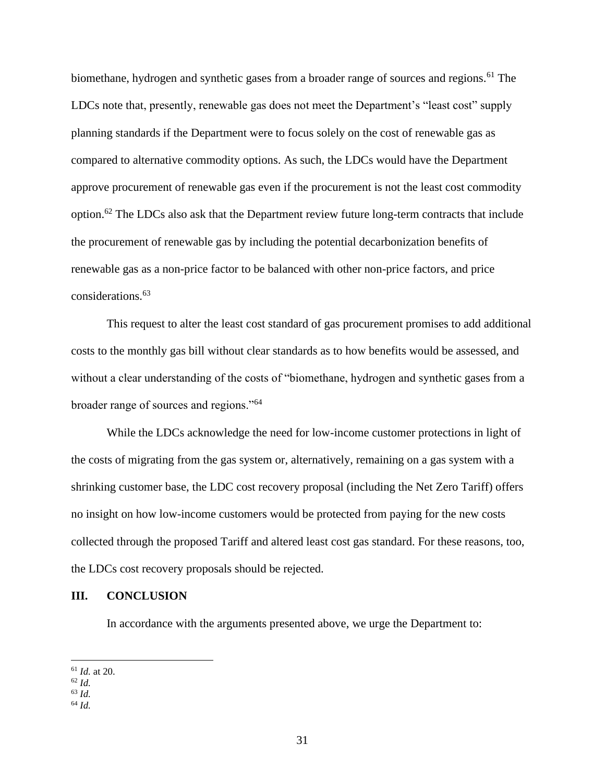biomethane, hydrogen and synthetic gases from a broader range of sources and regions.<sup>61</sup> The LDCs note that, presently, renewable gas does not meet the Department's "least cost" supply planning standards if the Department were to focus solely on the cost of renewable gas as compared to alternative commodity options. As such, the LDCs would have the Department approve procurement of renewable gas even if the procurement is not the least cost commodity option.<sup>62</sup> The LDCs also ask that the Department review future long-term contracts that include the procurement of renewable gas by including the potential decarbonization benefits of renewable gas as a non-price factor to be balanced with other non-price factors, and price considerations.<sup>63</sup>

This request to alter the least cost standard of gas procurement promises to add additional costs to the monthly gas bill without clear standards as to how benefits would be assessed, and without a clear understanding of the costs of "biomethane, hydrogen and synthetic gases from a broader range of sources and regions."<sup>64</sup>

While the LDCs acknowledge the need for low-income customer protections in light of the costs of migrating from the gas system or, alternatively, remaining on a gas system with a shrinking customer base, the LDC cost recovery proposal (including the Net Zero Tariff) offers no insight on how low-income customers would be protected from paying for the new costs collected through the proposed Tariff and altered least cost gas standard. For these reasons, too, the LDCs cost recovery proposals should be rejected.

#### **III. CONCLUSION**

In accordance with the arguments presented above, we urge the Department to:

<sup>61</sup> *Id.* at 20.

<sup>62</sup> *Id.*

<sup>63</sup> *Id.*

<sup>64</sup> *Id.*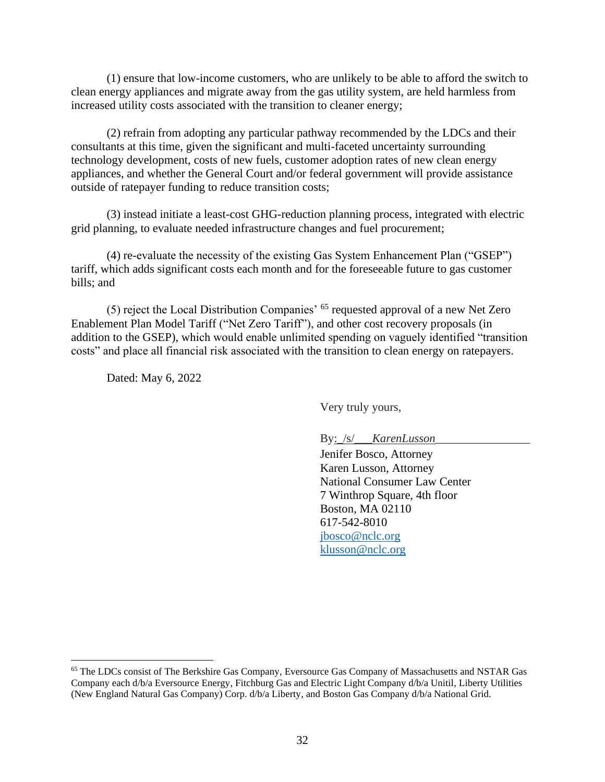(1) ensure that low-income customers, who are unlikely to be able to afford the switch to clean energy appliances and migrate away from the gas utility system, are held harmless from increased utility costs associated with the transition to cleaner energy;

(2) refrain from adopting any particular pathway recommended by the LDCs and their consultants at this time, given the significant and multi-faceted uncertainty surrounding technology development, costs of new fuels, customer adoption rates of new clean energy appliances, and whether the General Court and/or federal government will provide assistance outside of ratepayer funding to reduce transition costs;

(3) instead initiate a least-cost GHG-reduction planning process, integrated with electric grid planning, to evaluate needed infrastructure changes and fuel procurement;

(4) re-evaluate the necessity of the existing Gas System Enhancement Plan ("GSEP") tariff, which adds significant costs each month and for the foreseeable future to gas customer bills; and

(5) reject the Local Distribution Companies' <sup>65</sup> requested approval of a new Net Zero Enablement Plan Model Tariff ("Net Zero Tariff"), and other cost recovery proposals (in addition to the GSEP), which would enable unlimited spending on vaguely identified "transition costs" and place all financial risk associated with the transition to clean energy on ratepayers.

Dated: May 6, 2022

Very truly yours,

By: /s/\_*\_\_KarenLusson\_\_\_* 

Jenifer Bosco, Attorney Karen Lusson, Attorney National Consumer Law Center 7 Winthrop Square, 4th floor Boston, MA 02110 617-542-8010 [jbosco@nclc.org](mailto:jbosco@nclc.org) [klusson@nclc.org](mailto:klusson@nclc.org)

<sup>65</sup> The LDCs consist of The Berkshire Gas Company, Eversource Gas Company of Massachusetts and NSTAR Gas Company each d/b/a Eversource Energy, Fitchburg Gas and Electric Light Company d/b/a Unitil, Liberty Utilities (New England Natural Gas Company) Corp. d/b/a Liberty, and Boston Gas Company d/b/a National Grid.